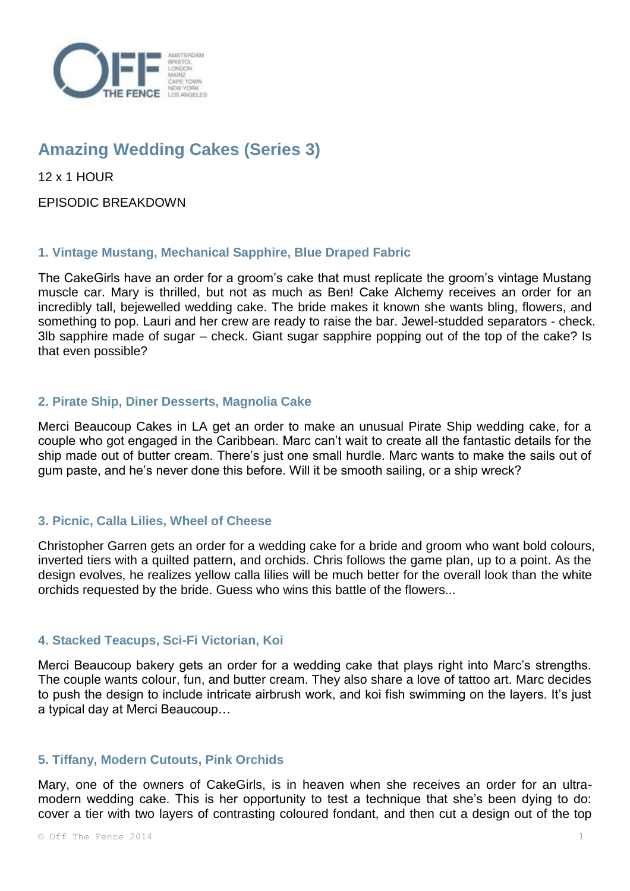

# **Amazing Wedding Cakes (Series 3)**

12 x 1 HOUR

EPISODIC BREAKDOWN

## **1. Vintage Mustang, Mechanical Sapphire, Blue Draped Fabric**

The CakeGirls have an order for a groom's cake that must replicate the groom's vintage Mustang muscle car. Mary is thrilled, but not as much as Ben! Cake Alchemy receives an order for an incredibly tall, bejewelled wedding cake. The bride makes it known she wants bling, flowers, and something to pop. Lauri and her crew are ready to raise the bar. Jewel-studded separators - check. 3lb sapphire made of sugar – check. Giant sugar sapphire popping out of the top of the cake? Is that even possible?

## **2. Pirate Ship, Diner Desserts, Magnolia Cake**

Merci Beaucoup Cakes in LA get an order to make an unusual Pirate Ship wedding cake, for a couple who got engaged in the Caribbean. Marc can't wait to create all the fantastic details for the ship made out of butter cream. There's just one small hurdle. Marc wants to make the sails out of gum paste, and he's never done this before. Will it be smooth sailing, or a ship wreck?

## **3. Picnic, Calla Lilies, Wheel of Cheese**

Christopher Garren gets an order for a wedding cake for a bride and groom who want bold colours, inverted tiers with a quilted pattern, and orchids. Chris follows the game plan, up to a point. As the design evolves, he realizes yellow calla lilies will be much better for the overall look than the white orchids requested by the bride. Guess who wins this battle of the flowers...

## **4. Stacked Teacups, Sci-Fi Victorian, Koi**

Merci Beaucoup bakery gets an order for a wedding cake that plays right into Marc's strengths. The couple wants colour, fun, and butter cream. They also share a love of tattoo art. Marc decides to push the design to include intricate airbrush work, and koi fish swimming on the layers. It's just a typical day at Merci Beaucoup…

## **5. Tiffany, Modern Cutouts, Pink Orchids**

Mary, one of the owners of CakeGirls, is in heaven when she receives an order for an ultramodern wedding cake. This is her opportunity to test a technique that she's been dying to do: cover a tier with two layers of contrasting coloured fondant, and then cut a design out of the top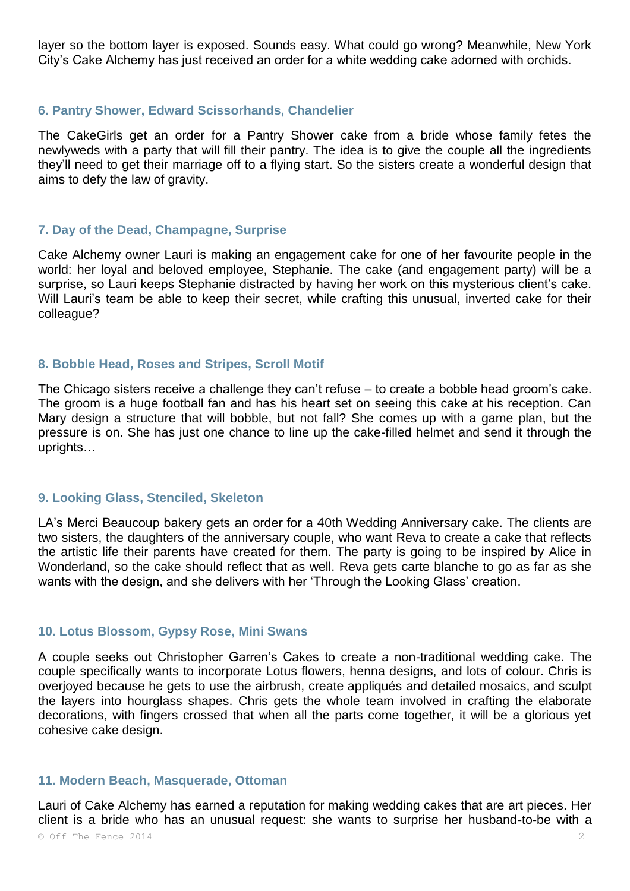layer so the bottom layer is exposed. Sounds easy. What could go wrong? Meanwhile, New York City's Cake Alchemy has just received an order for a white wedding cake adorned with orchids.

#### **6. Pantry Shower, Edward Scissorhands, Chandelier**

The CakeGirls get an order for a Pantry Shower cake from a bride whose family fetes the newlyweds with a party that will fill their pantry. The idea is to give the couple all the ingredients they'll need to get their marriage off to a flying start. So the sisters create a wonderful design that aims to defy the law of gravity.

#### **7. Day of the Dead, Champagne, Surprise**

Cake Alchemy owner Lauri is making an engagement cake for one of her favourite people in the world: her loyal and beloved employee, Stephanie. The cake (and engagement party) will be a surprise, so Lauri keeps Stephanie distracted by having her work on this mysterious client's cake. Will Lauri's team be able to keep their secret, while crafting this unusual, inverted cake for their colleague?

#### **8. Bobble Head, Roses and Stripes, Scroll Motif**

The Chicago sisters receive a challenge they can't refuse – to create a bobble head groom's cake. The groom is a huge football fan and has his heart set on seeing this cake at his reception. Can Mary design a structure that will bobble, but not fall? She comes up with a game plan, but the pressure is on. She has just one chance to line up the cake-filled helmet and send it through the uprights…

#### **9. Looking Glass, Stenciled, Skeleton**

LA's Merci Beaucoup bakery gets an order for a 40th Wedding Anniversary cake. The clients are two sisters, the daughters of the anniversary couple, who want Reva to create a cake that reflects the artistic life their parents have created for them. The party is going to be inspired by Alice in Wonderland, so the cake should reflect that as well. Reva gets carte blanche to go as far as she wants with the design, and she delivers with her 'Through the Looking Glass' creation.

## **10. Lotus Blossom, Gypsy Rose, Mini Swans**

A couple seeks out Christopher Garren's Cakes to create a non-traditional wedding cake. The couple specifically wants to incorporate Lotus flowers, henna designs, and lots of colour. Chris is overjoyed because he gets to use the airbrush, create appliqués and detailed mosaics, and sculpt the layers into hourglass shapes. Chris gets the whole team involved in crafting the elaborate decorations, with fingers crossed that when all the parts come together, it will be a glorious yet cohesive cake design.

## **11. Modern Beach, Masquerade, Ottoman**

Lauri of Cake Alchemy has earned a reputation for making wedding cakes that are art pieces. Her client is a bride who has an unusual request: she wants to surprise her husband-to-be with a